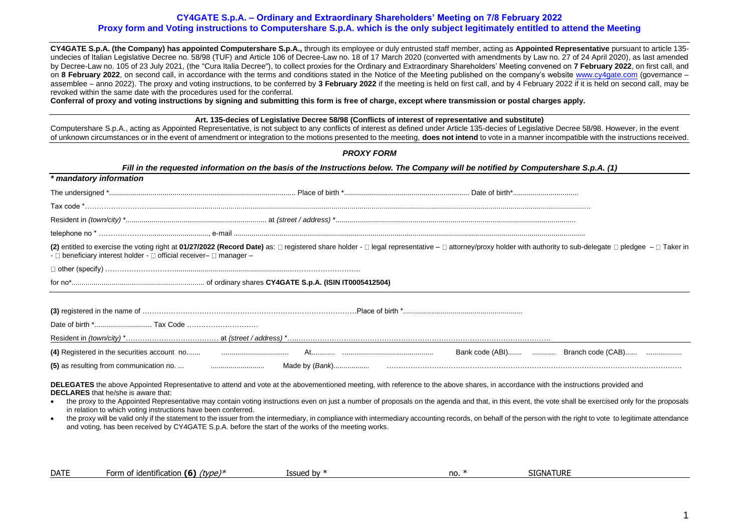## **CY4GATE S.p.A. – Ordinary and Extraordinary Shareholders' Meeting on 7/8 February 2022 Proxy form and Voting instructions to Computershare S.p.A. which is the only subject legitimately entitled to attend the Meeting**

**CY4GATE S.p.A. (the Company) has appointed Computershare S.p.A.,** through its employee or duly entrusted staff member, acting as **Appointed Representative** pursuant to article 135 undecies of Italian Legislative Decree no. 58/98 (TUF) and Article 106 of Decree-Law no. 18 of 17 March 2020 (converted with amendments by Law no. 27 of 24 April 2020), as last amended by Decree-Law no. 105 of 23 July 2021, (the "Cura Italia Decree"), to collect proxies for the Ordinary and Extraordinary Shareholders' Meeting convened on **7 February 2022**, on first call, and on 8 February 2022, on second call, in accordance with the terms and conditions stated in the Notice of the Meeting published on the company's website [www.cy4gate.com](http://www.cy4gate.com/) (governance – assemblee – anno 2022). The proxy and voting instructions, to be conferred by **3 February 2022** if the meeting is held on first call, and by 4 February 2022 if it is held on second call, may be revoked within the same date with the procedures used for the conferral.

**Conferral of proxy and voting instructions by signing and submitting this form is free of charge, except where transmission or postal charges apply.**

#### **Art. 135-decies of Legislative Decree 58/98 (Conflicts of interest of representative and substitute)**

Computershare S.p.A., acting as Appointed Representative, is not subject to any conflicts of interest as defined under Article 135-decies of Legislative Decree 58/98. However, in the event of unknown circumstances or in the event of amendment or integration to the motions presented to the meeting, **does not intend** to vote in a manner incompatible with the instructions received.

|                                                                                                             | <b>PROXY FORM</b>                                                                                   |                                                                                                                                                                                                                                                                                                                                                                                               |  |
|-------------------------------------------------------------------------------------------------------------|-----------------------------------------------------------------------------------------------------|-----------------------------------------------------------------------------------------------------------------------------------------------------------------------------------------------------------------------------------------------------------------------------------------------------------------------------------------------------------------------------------------------|--|
|                                                                                                             |                                                                                                     | Fill in the requested information on the basis of the Instructions below. The Company will be notified by Computershare S.p.A. (1)                                                                                                                                                                                                                                                            |  |
| * mandatory information                                                                                     |                                                                                                     |                                                                                                                                                                                                                                                                                                                                                                                               |  |
|                                                                                                             |                                                                                                     |                                                                                                                                                                                                                                                                                                                                                                                               |  |
|                                                                                                             |                                                                                                     |                                                                                                                                                                                                                                                                                                                                                                                               |  |
|                                                                                                             |                                                                                                     |                                                                                                                                                                                                                                                                                                                                                                                               |  |
|                                                                                                             |                                                                                                     |                                                                                                                                                                                                                                                                                                                                                                                               |  |
| - $\Box$ beneficiary interest holder - $\Box$ official receiver- $\Box$ manager -                           |                                                                                                     | (2) entitled to exercise the voting right at 01/27/2022 (Record Date) as: □ registered share holder - □ legal representative - □ attorney/proxy holder with authority to sub-delegate □ pledgee - □ Taker in                                                                                                                                                                                  |  |
|                                                                                                             |                                                                                                     |                                                                                                                                                                                                                                                                                                                                                                                               |  |
|                                                                                                             |                                                                                                     |                                                                                                                                                                                                                                                                                                                                                                                               |  |
|                                                                                                             |                                                                                                     |                                                                                                                                                                                                                                                                                                                                                                                               |  |
|                                                                                                             |                                                                                                     |                                                                                                                                                                                                                                                                                                                                                                                               |  |
|                                                                                                             |                                                                                                     |                                                                                                                                                                                                                                                                                                                                                                                               |  |
|                                                                                                             |                                                                                                     |                                                                                                                                                                                                                                                                                                                                                                                               |  |
|                                                                                                             |                                                                                                     | Bank code (ABI)  Branch code (CAB)                                                                                                                                                                                                                                                                                                                                                            |  |
|                                                                                                             |                                                                                                     |                                                                                                                                                                                                                                                                                                                                                                                               |  |
| <b>DECLARES</b> that he/she is aware that:<br>in relation to which voting instructions have been conferred. |                                                                                                     | DELEGATES the above Appointed Representative to attend and vote at the abovementioned meeting, with reference to the above shares, in accordance with the instructions provided and<br>the proxy to the Appointed Representative may contain voting instructions even on just a number of proposals on the agenda and that, in this event, the vote shall be exercised only for the proposals |  |
| $\bullet$                                                                                                   | and voting, has been received by CY4GATE S.p.A. before the start of the works of the meeting works. | the proxy will be valid only if the statement to the issuer from the intermediary, in compliance with intermediary accounting records, on behalf of the person with the right to vote to legitimate attendance                                                                                                                                                                                |  |

| <b>DATE</b><br>- 6<br>rvpe)*<br>5IGNA <sup>-</sup><br>`orm √<br>* identification<br>lssued<br>URI<br>'NV<br>no.<br>. |
|----------------------------------------------------------------------------------------------------------------------|
|----------------------------------------------------------------------------------------------------------------------|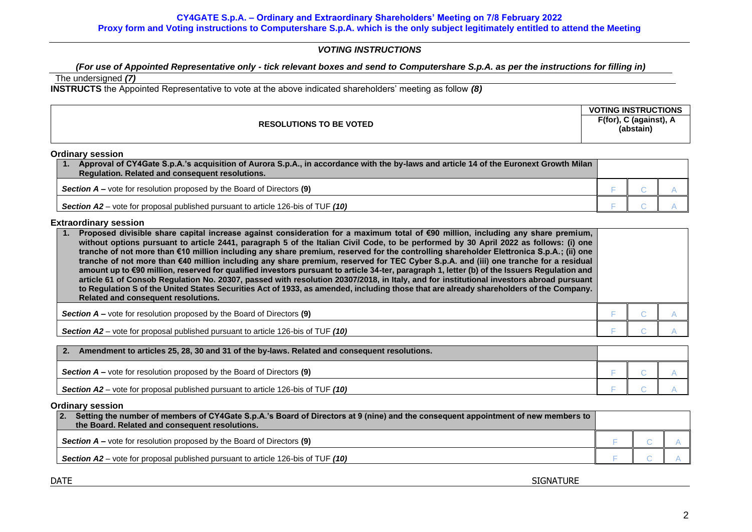# *VOTING INSTRUCTIONS*

# *(For use of Appointed Representative only - tick relevant boxes and send to Computershare S.p.A. as per the instructions for filling in)*

# The undersigned *(7)*

**INSTRUCTS** the Appointed Representative to vote at the above indicated shareholders' meeting as follow *(8)*

|                                | <b>GINSTRUCT</b><br><b></b><br><b>ING</b><br>™TION∟ |
|--------------------------------|-----------------------------------------------------|
| <b>RESOLUTIONS TO BE VOTED</b> | F(for), C (against), A<br>(abstain)                 |

## **Ordinary session**

| Approval of CY4Gate S.p.A.'s acquisition of Aurora S.p.A., in accordance with the by-laws and article 14 of the Euronext Growth Milan<br>Regulation. Related and consequent resolutions. |  |  |
|------------------------------------------------------------------------------------------------------------------------------------------------------------------------------------------|--|--|
| <b>Section A</b> – vote for resolution proposed by the Board of Directors (9)                                                                                                            |  |  |
| <b>Section A2</b> – vote for proposal published pursuant to article 126-bis of TUF (10)                                                                                                  |  |  |

## **Extraordinary session**

| Proposed divisible share capital increase against consideration for a maximum total of €90 million, including any share premium,<br>without options pursuant to article 2441, paragraph 5 of the Italian Civil Code, to be performed by 30 April 2022 as follows: (i) one<br>tranche of not more than $\varepsilon$ 10 million including any share premium, reserved for the controlling shareholder Elettronica S.p.A.; (ii) one<br>tranche of not more than €40 million including any share premium, reserved for TEC Cyber S.p.A. and (iii) one tranche for a residual<br>amount up to €90 million, reserved for qualified investors pursuant to article 34-ter, paragraph 1, letter (b) of the Issuers Regulation and<br>article 61 of Consob Regulation No. 20307, passed with resolution 20307/2018, in Italy, and for institutional investors abroad pursuant<br>to Regulation S of the United States Securities Act of 1933, as amended, including those that are already shareholders of the Company.<br>Related and consequent resolutions. |  |  |  |
|-------------------------------------------------------------------------------------------------------------------------------------------------------------------------------------------------------------------------------------------------------------------------------------------------------------------------------------------------------------------------------------------------------------------------------------------------------------------------------------------------------------------------------------------------------------------------------------------------------------------------------------------------------------------------------------------------------------------------------------------------------------------------------------------------------------------------------------------------------------------------------------------------------------------------------------------------------------------------------------------------------------------------------------------------------|--|--|--|
| <b>Section A</b> – vote for resolution proposed by the Board of Directors (9)                                                                                                                                                                                                                                                                                                                                                                                                                                                                                                                                                                                                                                                                                                                                                                                                                                                                                                                                                                         |  |  |  |
| <b>Section A2</b> – vote for proposal published pursuant to article 126-bis of TUF (10)                                                                                                                                                                                                                                                                                                                                                                                                                                                                                                                                                                                                                                                                                                                                                                                                                                                                                                                                                               |  |  |  |

| Amendment to articles 25, 28, 30 and 31 of the by-laws. Related and consequent resolutions. |  |  |
|---------------------------------------------------------------------------------------------|--|--|
| <b>Section <math>A</math></b> – vote for resolution proposed by the Board of Directors (9)  |  |  |
| <b>Section A2</b> – vote for proposal published pursuant to article 126-bis of TUF (10)     |  |  |

### **Ordinary session**

| Setting the number of members of CY4Gate S.p.A.'s Board of Directors at 9 (nine) and the consequent appointment of new members to<br>$\overline{2}$ .<br>the Board, Related and consequent resolutions. |  |  |
|---------------------------------------------------------------------------------------------------------------------------------------------------------------------------------------------------------|--|--|
| <b>Section A</b> – vote for resolution proposed by the Board of Directors $(9)$                                                                                                                         |  |  |
| <b>Section A2</b> – vote for proposal published pursuant to article 126-bis of TUF $(10)$                                                                                                               |  |  |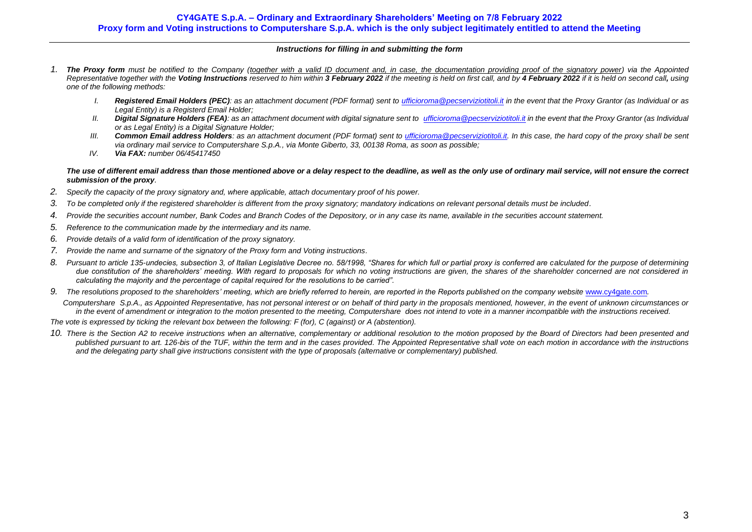#### *Instructions for filling in and submitting the form*

- *1. The Proxy form must be notified to the Company (together with a valid ID document and, in case, the documentation providing proof of the signatory power) via the Appointed*  Representative together with the Voting Instructions reserved to him within 3 February 2022 if the meeting is held on first call, and by 4 February 2022 if it is held on second call, using *one of the following methods:*
	- *I. Registered Email Holders (PEC): as an attachment document (PDF format) sent to [ufficioroma@pecserviziotitoli.it](mailto:ufficioroma@pecserviziotitoli.it) in the event that the Proxy Grantor (as Individual or as Legal Entity) is a Registerd Email Holder;*
	- *II. Digital Signature Holders (FEA): as an attachment document with digital signature sent to [ufficioroma@pecserviziotitoli.it](mailto:xxxxx@pecserviziotitoli.it) in the event that the Proxy Grantor (as Individual or as Legal Entity) is a Digital Signature Holder;*
	- *III. Common Email address Holders: as an attachment document (PDF format) sent to [ufficioroma@pecserviziotitoli.it.](mailto:ufficioroma@pecserviziotitoli.it) In this case, the hard copy of the proxy shall be sent via ordinary mail service to Computershare S.p.A., via Monte Giberto, 33, 00138 Roma, as soon as possible;*
	- *IV. Via FAX: number 06/45417450*

#### *The use of different email address than those mentioned above or a delay respect to the deadline, as well as the only use of ordinary mail service, will not ensure the correct submission of the proxy.*

- *2. Specify the capacity of the proxy signatory and, where applicable, attach documentary proof of his power.*
- *3. To be completed only if the registered shareholder is different from the proxy signatory; mandatory indications on relevant personal details must be included.*
- *4. Provide the securities account number, Bank Codes and Branch Codes of the Depository, or in any case its name, available in the securities account statement.*
- *5. Reference to the communication made by the intermediary and its name.*
- *6. Provide details of a valid form of identification of the proxy signatory.*
- *7. Provide the name and surname of the signatory of the Proxy form and Voting instructions.*
- *8. Pursuant to article 135-undecies, subsection 3, of Italian Legislative Decree no. 58/1998, "Shares for which full or partial proxy is conferred are calculated for the purpose of determining* due constitution of the shareholders' meeting. With regard to proposals for which no voting instructions are given, the shares of the shareholder concerned are not considered in *calculating the majority and the percentage of capital required for the resolutions to be carried".*
- 9. The resolutions proposed to the shareholders' meeting, which are briefly referred to herein, are reported in the Reports published on the company website [www.cy4gate.com](http://www.cy4gate.com/).

 *Computershare S.p.A., as Appointed Representative, has not personal interest or on behalf of third party in the proposals mentioned, however, in the event of unknown circumstances or in the event of amendment or integration to the motion presented to the meeting, Computershare does not intend to vote in a manner incompatible with the instructions received.*

*The vote is expressed by ticking the relevant box between the following: F (for), C (against) or A (abstention).*

*10. There is the Section A2 to receive instructions when an alternative, complementary or additional resolution to the motion proposed by the Board of Directors had been presented and published pursuant to art. 126-bis of the TUF, within the term and in the cases provided. The Appointed Representative shall vote on each motion in accordance with the instructions and the delegating party shall give instructions consistent with the type of proposals (alternative or complementary) published.*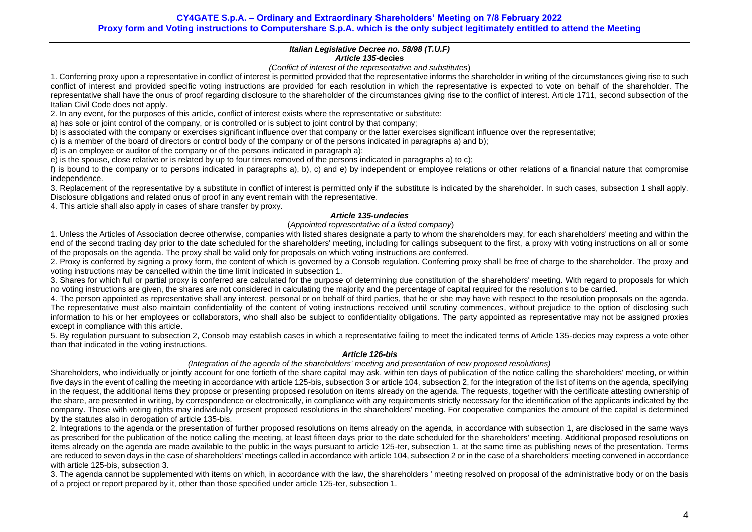## **CY4GATE S.p.A. – Ordinary and Extraordinary Shareholders' Meeting on 7/8 February 2022 Proxy form and Voting instructions to Computershare S.p.A. which is the only subject legitimately entitled to attend the Meeting**

#### *Italian Legislative Decree no. 58/98 (T.U.F) Article 135-***decies**

#### *(Conflict of interest of the representative and substitutes*)

1. Conferring proxy upon a representative in conflict of interest is permitted provided that the representative informs the shareholder in writing of the circumstances giving rise to such conflict of interest and provided specific voting instructions are provided for each resolution in which the representative is expected to vote on behalf of the shareholder. The representative shall have the onus of proof regarding disclosure to the shareholder of the circumstances giving rise to the conflict of interest. Article 1711, second subsection of the Italian Civil Code does not apply.

2. In any event, for the purposes of this article, conflict of interest exists where the representative or substitute:

a) has sole or joint control of the company, or is controlled or is subject to joint control by that company;

b) is associated with the company or exercises significant influence over that company or the latter exercises significant influence over the representative:

c) is a member of the board of directors or control body of the company or of the persons indicated in paragraphs a) and b);

d) is an employee or auditor of the company or of the persons indicated in paragraph a);

e) is the spouse, close relative or is related by up to four times removed of the persons indicated in paragraphs a) to c);

f) is bound to the company or to persons indicated in paragraphs a), b), c) and e) by independent or employee relations or other relations of a financial nature that compromise independence.

3. Replacement of the representative by a substitute in conflict of interest is permitted only if the substitute is indicated by the shareholder. In such cases, subsection 1 shall apply. Disclosure obligations and related onus of proof in any event remain with the representative.

4. This article shall also apply in cases of share transfer by proxy.

## *Article 135-undecies*

## (*Appointed representative of a listed company*)

1. Unless the Articles of Association decree otherwise, companies with listed shares designate a party to whom the shareholders may, for each shareholders' meeting and within the end of the second trading day prior to the date scheduled for the shareholders' meeting, including for callings subsequent to the first, a proxy with voting instructions on all or some of the proposals on the agenda. The proxy shall be valid only for proposals on which voting instructions are conferred.

2. Proxy is conferred by signing a proxy form, the content of which is governed by a Consob regulation. Conferring proxy shall be free of charge to the shareholder. The proxy and voting instructions may be cancelled within the time limit indicated in subsection 1.

3. Shares for which full or partial proxy is conferred are calculated for the purpose of determining due constitution of the shareholders' meeting. With regard to proposals for which no voting instructions are given, the shares are not considered in calculating the majority and the percentage of capital required for the resolutions to be carried.

4. The person appointed as representative shall any interest, personal or on behalf of third parties, that he or she may have with respect to the resolution proposals on the agenda. The representative must also maintain confidentiality of the content of voting instructions received until scrutiny commences, without prejudice to the option of disclosing such information to his or her employees or collaborators, who shall also be subject to confidentiality obligations. The party appointed as representative may not be assigned proxies except in compliance with this article.

5. By regulation pursuant to subsection 2, Consob may establish cases in which a representative failing to meet the indicated terms of Article 135-decies may express a vote other than that indicated in the voting instructions.

#### *Article 126-bis*

## *(Integration of the agenda of the shareholders' meeting and presentation of new proposed resolutions)*

Shareholders, who individually or jointly account for one fortieth of the share capital may ask, within ten days of publication of the notice calling the shareholders' meeting, or within five days in the event of calling the meeting in accordance with article 125-bis, subsection 3 or article 104, subsection 2, for the integration of the list of items on the agenda, specifying in the request, the additional items they propose or presenting proposed resolution on items already on the agenda. The requests, together with the certificate attesting ownership of the share, are presented in writing, by correspondence or electronically, in compliance with any requirements strictly necessary for the identification of the applicants indicated by the company. Those with voting rights may individually present proposed resolutions in the shareholders' meeting. For cooperative companies the amount of the capital is determined by the statutes also in derogation of article 13[5-bis.](http://www.consob.it/mainen/documenti/english/laws/fr_decree58_1998.htm#sdfootnote595bissym) 

2. Integrations to the agenda or the presentation of further proposed resolutions on items already on the agenda, in accordance with subsection 1, are disclosed in the same ways as prescribed for the publication of the notice calling the meeting, at least fifteen days prior to the date scheduled for the shareholders' meeting. Additional proposed resolutions on items already on the agenda are made available to the public in the ways pursuant to article 125-ter, subsection 1, at the same time as publishing news of the presentation. Terms are reduced to seven days in the case of shareholders' meetings called in accordance with article 104, subsection 2 or in the case of a shareholders' meeting convened in accordance with article 125-bis, subsection 3.

3. The agenda cannot be supplemented with items on which, in accordance with the law, the shareholders ' meeting resolved on proposal of the administrative body or on the basis of a project or report prepared by it, other than those specified under article 125-ter, subsection 1.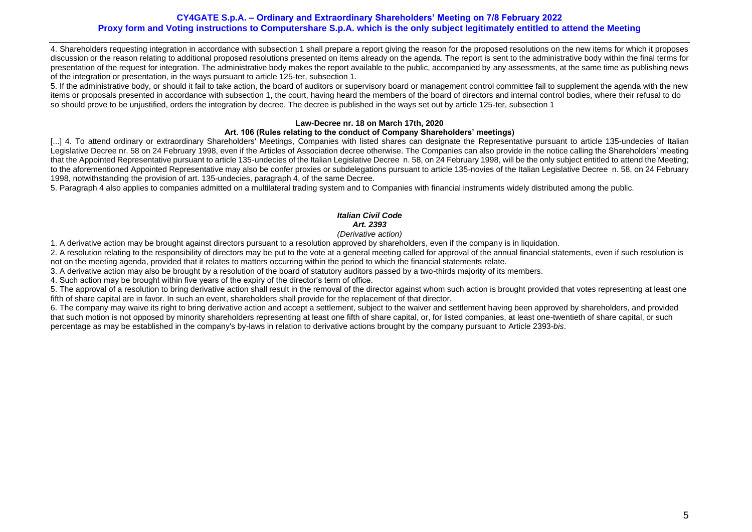## **CY4GATE S.p.A. – Ordinary and Extraordinary Shareholders' Meeting on 7/8 February 2022 Proxy form and Voting instructions to Computershare S.p.A. which is the only subject legitimately entitled to attend the Meeting**

4. Shareholders requesting integration in accordance with subsection 1 shall prepare a report giving the reason for the proposed resolutions on the new items for which it proposes discussion or the reason relating to additional proposed resolutions presented on items already on the agenda. The report is sent to the administrative body within the final terms for presentation of the request for integration. The administrative body makes the report available to the public, accompanied by any assessments, at the same time as publishing news of the integration or presentation, in the ways pursuant to article 125-ter, subsection 1.

5. If the administrative body, or should it fail to take action, the board of auditors or supervisory board or management control committee fail to supplement the agenda with the new items or proposals presented in accordance with subsection 1, the court, having heard the members of the board of directors and internal control bodies, where their refusal to do so should prove to be unjustified, orders the integration by decree. The decree is published in the ways set out by article 125-ter, subsection 1

## **Law-Decree nr. 18 on March 17th, 2020**

## **Art. 106 (Rules relating to the conduct of Company Shareholders' meetings)**

[...] 4. To attend ordinary or extraordinary Shareholders' Meetings, Companies with listed shares can designate the Representative pursuant to article 135-undecies of Italian Legislative Decree nr. 58 on 24 February 1998, even if the Articles of Association decree otherwise. The Companies can also provide in the notice calling the Shareholders' meeting that the Appointed Representative pursuant to article 135-undecies of the Italian Legislative Decree n. 58, on 24 February 1998, will be the only subject entitled to attend the Meeting; to the aforementioned Appointed Representative may also be confer proxies or subdelegations pursuant to article 135-novies of the Italian Legislative Decree n. 58, on 24 February 1998, notwithstanding the provision of art. 135-undecies, paragraph 4, of the same Decree.

5. Paragraph 4 also applies to companies admitted on a multilateral trading system and to Companies with financial instruments widely distributed among the public.

# *Italian Civil Code Art. 2393*

## *(Derivative action)*

1. A derivative action may be brought against directors pursuant to a resolution approved by shareholders, even if the company is in liquidation.

2. A resolution relating to the responsibility of directors may be put to the vote at a general meeting called for approval of the annual financial statements, even if such resolution is not on the meeting agenda, provided that it relates to matters occurring within the period to which the financial statements relate.

3. A derivative action may also be brought by a resolution of the board of statutory auditors passed by a two-thirds majority of its members.

4. Such action may be brought within five years of the expiry of the director's term of office.

5. The approval of a resolution to bring derivative action shall result in the removal of the director against whom such action is brought provided that votes representing at least one fifth of share capital are in favor. In such an event, shareholders shall provide for the replacement of that director.

6. The company may waive its right to bring derivative action and accept a settlement, subject to the waiver and settlement having been approved by shareholders, and provided that such motion is not opposed by minority shareholders representing at least one fifth of share capital, or, for listed companies, at least one-twentieth of share capital, or such percentage as may be established in the company's by-laws in relation to derivative actions brought by the company pursuant to Article 2393-*bis*.